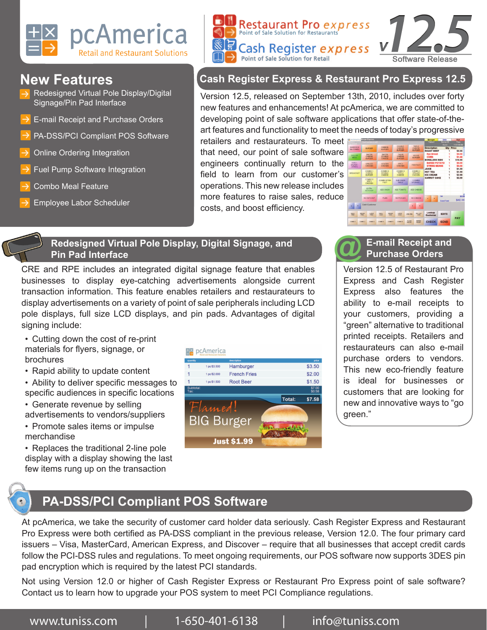

- Redesigned Virtual Pole Display/Digital Signage/Pin Pad Interface
- E-mail Receipt and Purchase Orders
- PA-DSS/PCI Compliant POS Software
- Online Ordering Integration
- Fuel Pump Software Integration
- Combo Meal Feature
- Employee Labor Scheduler



# **New Features Cash Register Express & Restaurant Pro Express 12.5**

Version 12.5, released on September 13th, 2010, includes over forty new features and enhancements! At pcAmerica, we are committed to developing point of sale software applications that offer state-of-theart features and functionality to meet the needs of today's progressive

retailers and restaurateurs. To meet that need, our point of sale software engineers continually return to the field to learn from our customer's operations. This new release includes more features to raise sales, reduce costs, and boost efficiency.



#### **Redesigned Virtual Pole Display, Digital Signage, and Pin Pad Interface**

CRE and RPE includes an integrated digital signage feature that enables businesses to display eye-catching advertisements alongside current transaction information. This feature enables retailers and restaurateurs to display advertisements on a variety of point of sale peripherals including LCD pole displays, full size LCD displays, and pin pads. Advantages of digital signing include:

- Cutting down the cost of re-print materials for flyers, signage, or brochures
- Rapid ability to update content
- Ability to deliver specific messages to specific audiences in specific locations
- Generate revenue by selling advertisements to vendors/suppliers
- Promote sales items or impulse merchandise

• Replaces the traditional 2-line pole display with a display showing the last few items rung up on the transaction



# **E-mail Receipt and @ Purchase Orders**

Version 12.5 of Restaurant Pro Express and Cash Register Express also features the ability to e-mail receipts to your customers, providing a "green" alternative to traditional printed receipts. Retailers and restaurateurs can also e-mail purchase orders to vendors. This new eco-friendly feature is ideal for businesses or customers that are looking for new and innovative ways to "go green."

# **PA-DSS/PCI Compliant POS Software**

At pcAmerica, we take the security of customer card holder data seriously. Cash Register Express and Restaurant Pro Express were both certified as PA-DSS compliant in the previous release, Version 12.0. The four primary card issuers – Visa, MasterCard, American Express, and Discover – require that all businesses that accept credit cards follow the PCI-DSS rules and regulations. To meet ongoing requirements, our POS software now supports 3DES pin pad encryption which is required by the latest PCI standards.

Not using Version 12.0 or higher of Cash Register Express or Restaurant Pro Express point of sale software? Contact us to learn how to upgrade your POS system to meet PCI Compliance regulations.

www.tuniss.com  $1-650-401-6138$  info@tuniss.com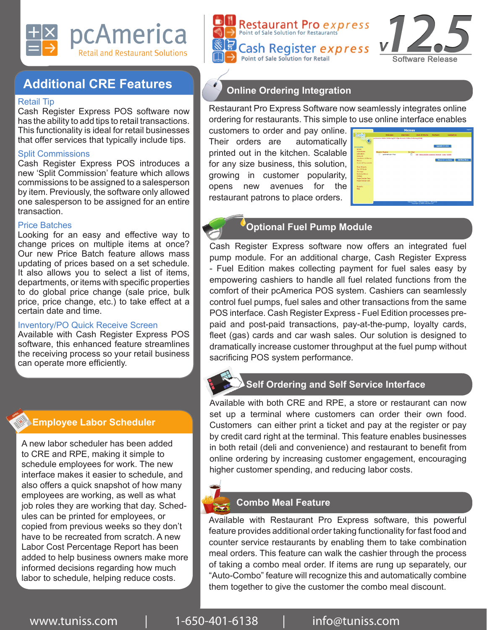







# **Additional CRE Features**

#### Retail Tip

Cash Register Express POS software now has the ability to add tips to retail transactions. This functionality is ideal for retail businesses that offer services that typically include tips.

#### Split Commissions

Cash Register Express POS introduces a new 'Split Commission' feature which allows commissions to be assigned to a salesperson by item. Previously, the software only allowed one salesperson to be assigned for an entire transaction.

#### Price Batches

Looking for an easy and effective way to change prices on multiple items at once? Our new Price Batch feature allows mass updating of prices based on a set schedule. It also allows you to select a list of items, departments, or items with specific properties to do global price change (sale price, bulk price, price change, etc.) to take effect at a certain date and time.

#### Inventory/PO Quick Receive Screen

Available with Cash Register Express POS software, this enhanced feature streamlines the receiving process so your retail business can operate more efficiently.

# **Employee Labor Scheduler**

A new labor scheduler has been added to CRE and RPE, making it simple to schedule employees for work. The new interface makes it easier to schedule, and also offers a quick snapshot of how many employees are working, as well as what job roles they are working that day. Schedules can be printed for employees, or copied from previous weeks so they don't have to be recreated from scratch. A new Labor Cost Percentage Report has been added to help business owners make more informed decisions regarding how much labor to schedule, helping reduce costs.



Restaurant Pro Express Software now seamlessly integrates online ordering for restaurants. This simple to use online interface enables

customers to order and pay online. Their orders are automatically printed out in the kitchen. Scalable for any size business, this solution, growing in customer popularity, opens new avenues for the restaurant patrons to place orders.

|                                                                                                                                                                                                                                                                                                                                           | <b>Menus</b>                                                                     |             |                                             |                      |                            | Legent              |
|-------------------------------------------------------------------------------------------------------------------------------------------------------------------------------------------------------------------------------------------------------------------------------------------------------------------------------------------|----------------------------------------------------------------------------------|-------------|---------------------------------------------|----------------------|----------------------------|---------------------|
| <b>Lakefiet</b>                                                                                                                                                                                                                                                                                                                           | Welcaren                                                                         | Overview    | <b>How It Warks</b>                         | <b>Partners</b>      | Contact Us                 |                     |
| <b>Accounts</b><br>Home                                                                                                                                                                                                                                                                                                                   | or America Ordess Ordering C#13 One America Ordess Ordering C#50)                |             |                                             | <b>Update In Use</b> |                            |                     |
| Franchises<br>Activation<br>Account<br><b>Locations &amp; Marcis</b><br>Merus:<br>Users & Passworth<br><b>Market and Career</b><br><b>Principle Manuel C.</b><br>Out Of Stock<br>Closings<br>Delivery Areas<br>Orders<br>Page Design Reg.<br>Page Design Adv.<br>たいこうしょうぎ ちさつきょく<br><b>ROTTLYME STINE</b><br><b>Rogerts</b><br><b>FAO</b> | MasterName<br>polmerican Way<br>o                                                | In Use<br>Ξ | Edd Many Builder Coupons Amanga Copy Dalate |                      | <b>Return to Lecations</b> | <b>Add New Menu</b> |
|                                                                                                                                                                                                                                                                                                                                           | Terms of the 1 Privacy Palicy 1 About the<br>Convertibility 2885, Leda Certainst |             |                                             |                      |                            |                     |

# **Optional Fuel Pump Module**

Cash Register Express software now offers an integrated fuel pump module. For an additional charge, Cash Register Express - Fuel Edition makes collecting payment for fuel sales easy by empowering cashiers to handle all fuel related functions from the comfort of their pcAmerica POS system. Cashiers can seamlessly control fuel pumps, fuel sales and other transactions from the same POS interface. Cash Register Express - Fuel Edition processes prepaid and post-paid transactions, pay-at-the-pump, loyalty cards, fleet (gas) cards and car wash sales. Our solution is designed to dramatically increase customer throughput at the fuel pump without sacrificing POS system performance.

# **Self Ordering and Self Service Interface**

Available with both CRE and RPE, a store or restaurant can now set up a terminal where customers can order their own food. Customers can either print a ticket and pay at the register or pay by credit card right at the terminal. This feature enables businesses in both retail (deli and convenience) and restaurant to benefit from online ordering by increasing customer engagement, encouraging higher customer spending, and reducing labor costs.



#### **Combo Meal Feature**

Available with Restaurant Pro Express software, this powerful feature provides additional order taking functionality for fast food and counter service restaurants by enabling them to take combination meal orders. This feature can walk the cashier through the process of taking a combo meal order. If items are rung up separately, our "Auto-Combo" feature will recognize this and automatically combine them together to give the customer the combo meal discount.

www.tuniss.com  $1-650-401-6138$  info@tuniss.com